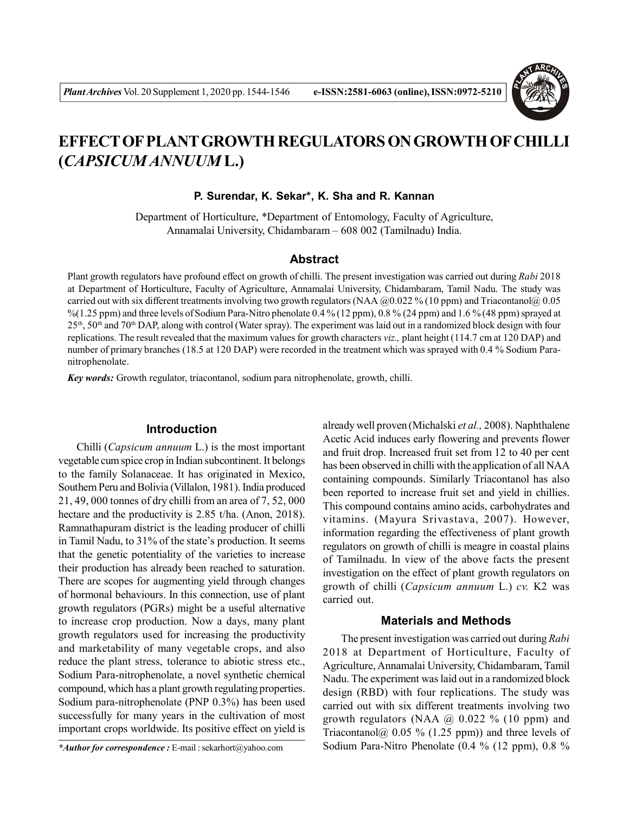

# **EFFECT OF PLANT GROWTH REGULATORS ON GROWTH OF CHILLI (***CAPSICUM ANNUUM* **L.)**

**P. Surendar, K. Sekar\*, K. Sha and R. Kannan**

Department of Horticulture, \*Department of Entomology, Faculty of Agriculture, Annamalai University, Chidambaram – 608 002 (Tamilnadu) India.

#### **Abstract**

Plant growth regulators have profound effect on growth of chilli. The present investigation was carried out during *Rabi* 2018 at Department of Horticulture, Faculty of Agriculture, Annamalai University, Chidambaram, Tamil Nadu. The study was carried out with six different treatments involving two growth regulators (NAA  $@0.022\%$  (10 ppm) and Triacontanol $@0.05$  $\%$ (1.25 ppm) and three levels of Sodium Para-Nitro phenolate 0.4 % (12 ppm), 0.8 % (24 ppm) and 1.6 % (48 ppm) sprayed at 25th, 50th and 70th DAP, along with control (Water spray). The experiment was laid out in a randomized block design with four replications. The result revealed that the maximum values for growth characters *viz.,* plant height (114.7 cm at 120 DAP) and number of primary branches (18.5 at 120 DAP) were recorded in the treatment which was sprayed with 0.4 % Sodium Paranitrophenolate.

*Key words:* Growth regulator, triacontanol, sodium para nitrophenolate, growth, chilli.

## **Introduction**

Chilli (*Capsicum annuum* L.) is the most important vegetable cum spice crop in Indian subcontinent. It belongs to the family Solanaceae. It has originated in Mexico, Southern Peru and Bolivia (Villalon, 1981). India produced 21, 49, 000 tonnes of dry chilli from an area of 7, 52, 000 hectare and the productivity is 2.85 t/ha. (Anon, 2018). Ramnathapuram district is the leading producer of chilli in Tamil Nadu, to 31% of the state's production. It seems that the genetic potentiality of the varieties to increase their production has already been reached to saturation. There are scopes for augmenting yield through changes of hormonal behaviours. In this connection, use of plant growth regulators (PGRs) might be a useful alternative to increase crop production. Now a days, many plant growth regulators used for increasing the productivity and marketability of many vegetable crops, and also reduce the plant stress, tolerance to abiotic stress etc., Sodium Para-nitrophenolate, a novel synthetic chemical compound, which has a plant growth regulating properties. Sodium para-nitrophenolate (PNP 0.3%) has been used successfully for many years in the cultivation of most important crops worldwide. Its positive effect on yield is

already well proven (Michalski *et al.,* 2008). Naphthalene Acetic Acid induces early flowering and prevents flower and fruit drop. Increased fruit set from 12 to 40 per cent has been observed in chilli with the application of all NAA containing compounds. Similarly Triacontanol has also been reported to increase fruit set and yield in chillies. This compound contains amino acids, carbohydrates and vitamins. (Mayura Srivastava, 2007). However, information regarding the effectiveness of plant growth regulators on growth of chilli is meagre in coastal plains of Tamilnadu. In view of the above facts the present investigation on the effect of plant growth regulators on growth of chilli (*Capsicum annuum* L.) *cv.* K2 was carried out.

## **Materials and Methods**

The present investigation was carried out during *Rabi* 2018 at Department of Horticulture, Faculty of Agriculture, Annamalai University, Chidambaram, Tamil Nadu. The experiment was laid out in a randomized block design (RBD) with four replications. The study was carried out with six different treatments involving two growth regulators (NAA  $\omega$  0.022 % (10 ppm) and Triacontanol@  $0.05 \%$  (1.25 ppm)) and three levels of Sodium Para-Nitro Phenolate (0.4 % (12 ppm), 0.8 %

*<sup>\*</sup>Author for correspondence :* E-mail : sekarhort@yahoo.com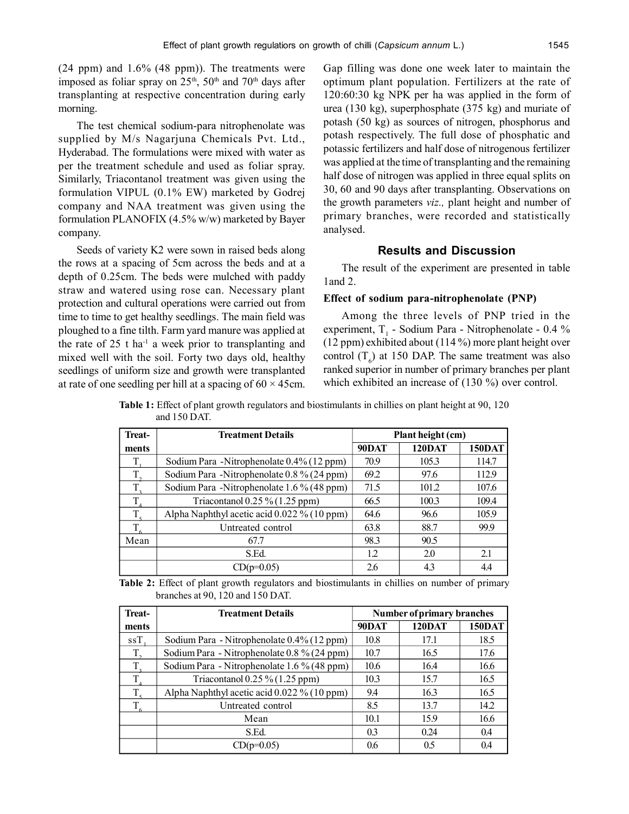(24 ppm) and 1.6% (48 ppm)). The treatments were imposed as foliar spray on  $25<sup>th</sup>$ ,  $50<sup>th</sup>$  and  $70<sup>th</sup>$  days after transplanting at respective concentration during early morning.

The test chemical sodium-para nitrophenolate was supplied by M/s Nagarjuna Chemicals Pvt. Ltd., Hyderabad. The formulations were mixed with water as per the treatment schedule and used as foliar spray. Similarly, Triacontanol treatment was given using the formulation VIPUL (0.1% EW) marketed by Godrej company and NAA treatment was given using the formulation PLANOFIX (4.5% w/w) marketed by Bayer company.

Seeds of variety K2 were sown in raised beds along the rows at a spacing of 5cm across the beds and at a depth of 0.25cm. The beds were mulched with paddy straw and watered using rose can. Necessary plant protection and cultural operations were carried out from time to time to get healthy seedlings. The main field was ploughed to a fine tilth. Farm yard manure was applied at the rate of  $25$  t ha<sup>-1</sup> a week prior to transplanting and mixed well with the soil. Forty two days old, healthy seedlings of uniform size and growth were transplanted at rate of one seedling per hill at a spacing of  $60 \times 45$ cm.

Gap filling was done one week later to maintain the optimum plant population. Fertilizers at the rate of 120:60:30 kg NPK per ha was applied in the form of urea (130 kg), superphosphate (375 kg) and muriate of potash (50 kg) as sources of nitrogen, phosphorus and potash respectively. The full dose of phosphatic and potassic fertilizers and half dose of nitrogenous fertilizer was applied at the time of transplanting and the remaining half dose of nitrogen was applied in three equal splits on 30, 60 and 90 days after transplanting. Observations on the growth parameters *viz.,* plant height and number of primary branches, were recorded and statistically analysed.

## **Results and Discussion**

The result of the experiment are presented in table 1and 2.

## **Effect of sodium para-nitrophenolate (PNP)**

Among the three levels of PNP tried in the experiment,  $T_1$  - Sodium Para - Nitrophenolate - 0.4 % (12 ppm) exhibited about (114 %) more plant height over control  $(T_6)$  at 150 DAP. The same treatment was also ranked superior in number of primary branches per plant which exhibited an increase of (130 %) over control.

**Table 1:** Effect of plant growth regulators and biostimulants in chillies on plant height at 90, 120 and 150 DAT.

| <b>Treat-</b> | <b>Treatment Details</b>                    | Plant height (cm) |               |               |
|---------------|---------------------------------------------|-------------------|---------------|---------------|
| ments         |                                             | 90DAT             | <b>120DAT</b> | <b>150DAT</b> |
|               | Sodium Para - Nitrophenolate 0.4% (12 ppm)  | 70.9              | 105.3         | 114.7         |
|               | Sodium Para -Nitrophenolate 0.8 % (24 ppm)  | 69.2              | 97.6          | 112.9         |
| $T_{\rm a}$   | Sodium Para -Nitrophenolate 1.6 % (48 ppm)  | 71.5              | 101.2         | 107.6         |
| T             | Triacontanol $0.25\%$ (1.25 ppm)            | 66.5              | 100.3         | 109.4         |
| $T_{\rm s}$   | Alpha Naphthyl acetic acid 0.022 % (10 ppm) | 64.6              | 96.6          | 105.9         |
| $T_{6}$       | Untreated control                           | 63.8              | 88.7          | 99.9          |
| Mean          | 67.7                                        | 98.3              | 90.5          |               |
|               | S.Ed.                                       | 1.2               | 2.0           | 2.1           |
|               | $CD(p=0.05)$                                | 2.6               | 4.3           | 44            |

**Table 2:** Effect of plant growth regulators and biostimulants in chillies on number of primary branches at 90, 120 and 150 DAT.

| <b>Treat-</b> | <b>Treatment Details</b>                    | Number of primary branches |               |               |
|---------------|---------------------------------------------|----------------------------|---------------|---------------|
| ments         |                                             | 90DAT                      | <b>120DAT</b> | <b>150DAT</b> |
| $ssT$ .       | Sodium Para - Nitrophenolate 0.4% (12 ppm)  | 10.8                       | 17.1          | 18.5          |
| $T_{\rm a}$   | Sodium Para - Nitrophenolate 0.8 % (24 ppm) | 10.7                       | 16.5          | 17.6          |
| $T_{\rm g}$   | Sodium Para - Nitrophenolate 1.6 % (48 ppm) | 10.6                       | 16.4          | 16.6          |
| T             | Triacontanol $0.25\%$ (1.25 ppm)            | 10.3                       | 15.7          | 16.5          |
| T.            | Alpha Naphthyl acetic acid 0.022 % (10 ppm) | 9.4                        | 16.3          | 16.5          |
| $T_{6}$       | Untreated control                           | 8.5                        | 13.7          | 14.2          |
|               | Mean                                        | 10.1                       | 15.9          | 16.6          |
|               | S.Ed.                                       | 0.3                        | 0.24          | 0.4           |
|               | CD(p=0.05)                                  | 0.6                        | 0.5           | 0.4           |